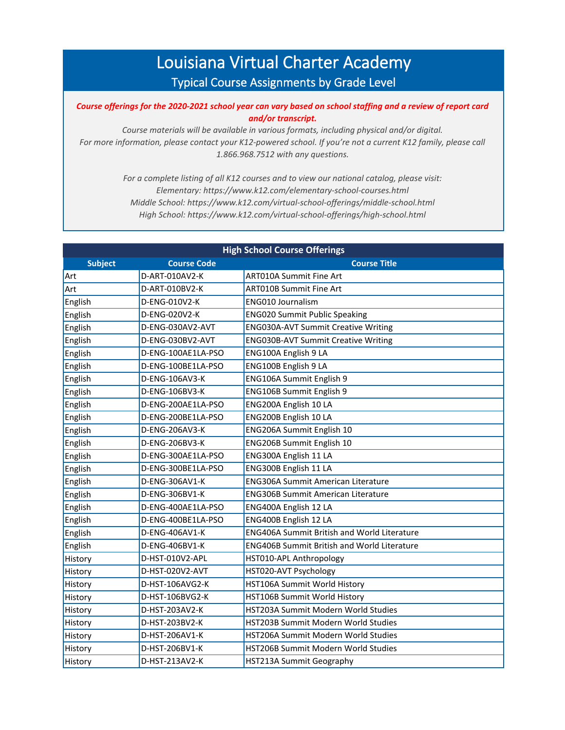## Louisiana Virtual Charter Academy Typical Course Assignments by Grade Level

## *Course offerings for the 2020-2021 school year can vary based on school staffing and a review of report card and/or transcript.*

*Course materials will be available in various formats, including physical and/or digital. For more information, please contact your K12-powered school. If you're not a current K12 family, please call 1.866.968.7512 with any questions.*

> *For a complete listing of all K12 courses and to view our national catalog, please visit: Elementary: https://www.k12.com/elementary-school-courses.html Middle School: https://www.k12.com/virtual-school-offerings/middle-school.html High School: https://www.k12.com/virtual-school-offerings/high-school.html*

| <b>High School Course Offerings</b> |                    |                                                    |  |  |
|-------------------------------------|--------------------|----------------------------------------------------|--|--|
| <b>Subject</b>                      | <b>Course Code</b> | <b>Course Title</b>                                |  |  |
| Art                                 | D-ART-010AV2-K     | <b>ART010A Summit Fine Art</b>                     |  |  |
| Art                                 | D-ART-010BV2-K     | <b>ART010B Summit Fine Art</b>                     |  |  |
| English                             | D-ENG-010V2-K      | ENG010 Journalism                                  |  |  |
| English                             | D-ENG-020V2-K      | <b>ENG020 Summit Public Speaking</b>               |  |  |
| English                             | D-ENG-030AV2-AVT   | <b>ENG030A-AVT Summit Creative Writing</b>         |  |  |
| English                             | D-ENG-030BV2-AVT   | <b>ENG030B-AVT Summit Creative Writing</b>         |  |  |
| English                             | D-ENG-100AE1LA-PSO | ENG100A English 9 LA                               |  |  |
| English                             | D-ENG-100BE1LA-PSO | ENG100B English 9 LA                               |  |  |
| English                             | D-ENG-106AV3-K     | ENG106A Summit English 9                           |  |  |
| English                             | D-ENG-106BV3-K     | ENG106B Summit English 9                           |  |  |
| English                             | D-ENG-200AE1LA-PSO | ENG200A English 10 LA                              |  |  |
| English                             | D-ENG-200BE1LA-PSO | ENG200B English 10 LA                              |  |  |
| English                             | D-ENG-206AV3-K     | ENG206A Summit English 10                          |  |  |
| English                             | D-ENG-206BV3-K     | ENG206B Summit English 10                          |  |  |
| English                             | D-ENG-300AE1LA-PSO | ENG300A English 11 LA                              |  |  |
| English                             | D-ENG-300BE1LA-PSO | ENG300B English 11 LA                              |  |  |
| English                             | D-ENG-306AV1-K     | <b>ENG306A Summit American Literature</b>          |  |  |
| English                             | D-ENG-306BV1-K     | <b>ENG306B Summit American Literature</b>          |  |  |
| English                             | D-ENG-400AE1LA-PSO | ENG400A English 12 LA                              |  |  |
| English                             | D-ENG-400BE1LA-PSO | ENG400B English 12 LA                              |  |  |
| English                             | D-ENG-406AV1-K     | <b>ENG406A Summit British and World Literature</b> |  |  |
| English                             | D-ENG-406BV1-K     | <b>ENG406B Summit British and World Literature</b> |  |  |
| History                             | D-HST-010V2-APL    | HST010-APL Anthropology                            |  |  |
| History                             | D-HST-020V2-AVT    | HST020-AVT Psychology                              |  |  |
| History                             | D-HST-106AVG2-K    | HST106A Summit World History                       |  |  |
| History                             | D-HST-106BVG2-K    | HST106B Summit World History                       |  |  |
| History                             | D-HST-203AV2-K     | HST203A Summit Modern World Studies                |  |  |
| History                             | D-HST-203BV2-K     | HST203B Summit Modern World Studies                |  |  |
| History                             | D-HST-206AV1-K     | <b>HST206A Summit Modern World Studies</b>         |  |  |
| History                             | D-HST-206BV1-K     | HST206B Summit Modern World Studies                |  |  |
| History                             | D-HST-213AV2-K     | <b>HST213A Summit Geography</b>                    |  |  |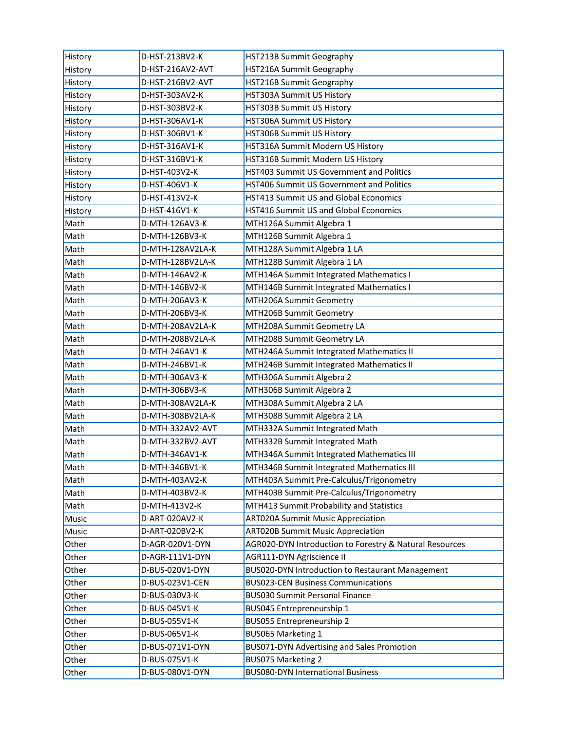| History | D-HST-213BV2-K   | HST213B Summit Geography                                |
|---------|------------------|---------------------------------------------------------|
| History | D-HST-216AV2-AVT | HST216A Summit Geography                                |
| History | D-HST-216BV2-AVT | HST216B Summit Geography                                |
| History | D-HST-303AV2-K   | HST303A Summit US History                               |
| History | D-HST-303BV2-K   | HST303B Summit US History                               |
| History | D-HST-306AV1-K   | HST306A Summit US History                               |
| History | D-HST-306BV1-K   | HST306B Summit US History                               |
| History | D-HST-316AV1-K   | HST316A Summit Modern US History                        |
| History | D-HST-316BV1-K   | HST316B Summit Modern US History                        |
| History | D-HST-403V2-K    | HST403 Summit US Government and Politics                |
| History | D-HST-406V1-K    | HST406 Summit US Government and Politics                |
| History | D-HST-413V2-K    | HST413 Summit US and Global Economics                   |
| History | D-HST-416V1-K    | HST416 Summit US and Global Economics                   |
| Math    | D-MTH-126AV3-K   | MTH126A Summit Algebra 1                                |
| Math    | D-MTH-126BV3-K   | MTH126B Summit Algebra 1                                |
| Math    | D-MTH-128AV2LA-K | MTH128A Summit Algebra 1 LA                             |
| Math    | D-MTH-128BV2LA-K | MTH128B Summit Algebra 1 LA                             |
| Math    | D-MTH-146AV2-K   | MTH146A Summit Integrated Mathematics I                 |
| Math    | D-MTH-146BV2-K   | MTH146B Summit Integrated Mathematics I                 |
| Math    | D-MTH-206AV3-K   | MTH206A Summit Geometry                                 |
| Math    | D-MTH-206BV3-K   | MTH206B Summit Geometry                                 |
| Math    | D-MTH-208AV2LA-K | MTH208A Summit Geometry LA                              |
| Math    | D-MTH-208BV2LA-K | MTH208B Summit Geometry LA                              |
| Math    | D-MTH-246AV1-K   | MTH246A Summit Integrated Mathematics II                |
| Math    | D-MTH-246BV1-K   | MTH246B Summit Integrated Mathematics II                |
| Math    | D-MTH-306AV3-K   | MTH306A Summit Algebra 2                                |
| Math    | D-MTH-306BV3-K   | MTH306B Summit Algebra 2                                |
| Math    | D-MTH-308AV2LA-K | MTH308A Summit Algebra 2 LA                             |
| Math    | D-MTH-308BV2LA-K | MTH308B Summit Algebra 2 LA                             |
| Math    | D-MTH-332AV2-AVT | MTH332A Summit Integrated Math                          |
| Math    | D-MTH-332BV2-AVT | MTH332B Summit Integrated Math                          |
| Math    | D-MTH-346AV1-K   | MTH346A Summit Integrated Mathematics III               |
| Math    | D-MTH-346BV1-K   | MTH346B Summit Integrated Mathematics III               |
| Math    | D-MTH-403AV2-K   | MTH403A Summit Pre-Calculus/Trigonometry                |
| Math    | D-MTH-403BV2-K   | MTH403B Summit Pre-Calculus/Trigonometry                |
| Math    | D-MTH-413V2-K    | MTH413 Summit Probability and Statistics                |
| Music   | D-ART-020AV2-K   | <b>ART020A Summit Music Appreciation</b>                |
| Music   | D-ART-020BV2-K   | <b>ART020B Summit Music Appreciation</b>                |
| Other   | D-AGR-020V1-DYN  | AGR020-DYN Introduction to Forestry & Natural Resources |
| Other   | D-AGR-111V1-DYN  | AGR111-DYN Agriscience II                               |
| Other   | D-BUS-020V1-DYN  | BUS020-DYN Introduction to Restaurant Management        |
| Other   | D-BUS-023V1-CEN  | <b>BUS023-CEN Business Communications</b>               |
| Other   | D-BUS-030V3-K    | <b>BUS030 Summit Personal Finance</b>                   |
| Other   | D-BUS-045V1-K    | BUS045 Entrepreneurship 1                               |
| Other   | D-BUS-055V1-K    | BUS055 Entrepreneurship 2                               |
| Other   | D-BUS-065V1-K    | BUS065 Marketing 1                                      |
| Other   | D-BUS-071V1-DYN  | BUS071-DYN Advertising and Sales Promotion              |
| Other   | D-BUS-075V1-K    | <b>BUS075 Marketing 2</b>                               |
| Other   | D-BUS-080V1-DYN  | <b>BUS080-DYN International Business</b>                |
|         |                  |                                                         |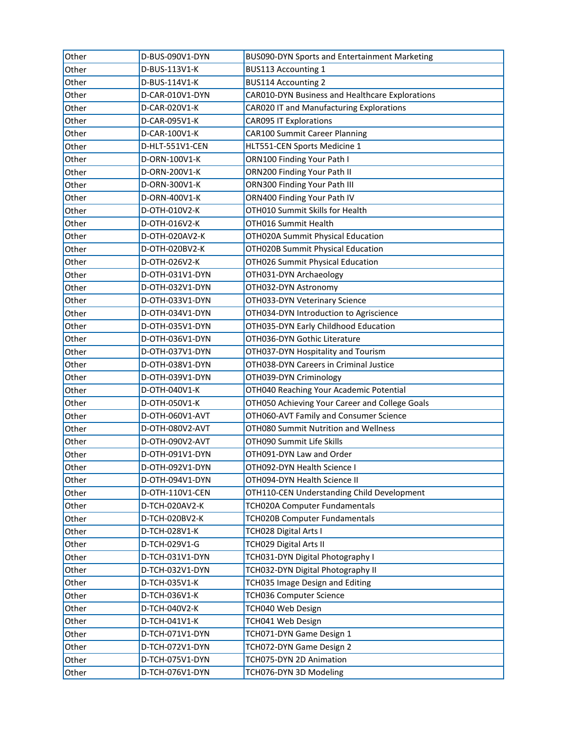| Other | D-BUS-090V1-DYN | BUS090-DYN Sports and Entertainment Marketing   |
|-------|-----------------|-------------------------------------------------|
| Other | D-BUS-113V1-K   | <b>BUS113 Accounting 1</b>                      |
| Other | D-BUS-114V1-K   | <b>BUS114 Accounting 2</b>                      |
| Other | D-CAR-010V1-DYN | CAR010-DYN Business and Healthcare Explorations |
| Other | D-CAR-020V1-K   | CAR020 IT and Manufacturing Explorations        |
| Other | D-CAR-095V1-K   | <b>CAR095 IT Explorations</b>                   |
| Other | D-CAR-100V1-K   | <b>CAR100 Summit Career Planning</b>            |
| Other | D-HLT-551V1-CEN | HLT551-CEN Sports Medicine 1                    |
| Other | D-ORN-100V1-K   | ORN100 Finding Your Path I                      |
| Other | D-ORN-200V1-K   | ORN200 Finding Your Path II                     |
| Other | D-ORN-300V1-K   | ORN300 Finding Your Path III                    |
| Other | D-ORN-400V1-K   | ORN400 Finding Your Path IV                     |
| Other | D-OTH-010V2-K   | OTH010 Summit Skills for Health                 |
| Other | D-OTH-016V2-K   | OTH016 Summit Health                            |
| Other | D-OTH-020AV2-K  | OTH020A Summit Physical Education               |
| Other | D-OTH-020BV2-K  | OTH020B Summit Physical Education               |
| Other | D-OTH-026V2-K   | OTH026 Summit Physical Education                |
| Other | D-OTH-031V1-DYN | OTH031-DYN Archaeology                          |
| Other | D-OTH-032V1-DYN | OTH032-DYN Astronomy                            |
| Other | D-OTH-033V1-DYN | OTH033-DYN Veterinary Science                   |
| Other | D-OTH-034V1-DYN | OTH034-DYN Introduction to Agriscience          |
| Other | D-OTH-035V1-DYN | OTH035-DYN Early Childhood Education            |
| Other | D-OTH-036V1-DYN | OTH036-DYN Gothic Literature                    |
| Other | D-OTH-037V1-DYN | OTH037-DYN Hospitality and Tourism              |
| Other | D-OTH-038V1-DYN | OTH038-DYN Careers in Criminal Justice          |
| Other | D-OTH-039V1-DYN | OTH039-DYN Criminology                          |
| Other | D-OTH-040V1-K   | OTH040 Reaching Your Academic Potential         |
| Other | D-OTH-050V1-K   | OTH050 Achieving Your Career and College Goals  |
| Other | D-OTH-060V1-AVT | OTH060-AVT Family and Consumer Science          |
| Other | D-OTH-080V2-AVT | OTH080 Summit Nutrition and Wellness            |
| Other | D-OTH-090V2-AVT | OTH090 Summit Life Skills                       |
| Other | D-OTH-091V1-DYN | OTH091-DYN Law and Order                        |
| Other | D-OTH-092V1-DYN | OTH092-DYN Health Science I                     |
| Other | D-OTH-094V1-DYN | OTH094-DYN Health Science II                    |
| Other | D-OTH-110V1-CEN | OTH110-CEN Understanding Child Development      |
| Other | D-TCH-020AV2-K  | TCH020A Computer Fundamentals                   |
| Other | D-TCH-020BV2-K  | <b>TCH020B Computer Fundamentals</b>            |
| Other | D-TCH-028V1-K   | TCH028 Digital Arts I                           |
| Other | D-TCH-029V1-G   | TCH029 Digital Arts II                          |
| Other | D-TCH-031V1-DYN | TCH031-DYN Digital Photography I                |
| Other | D-TCH-032V1-DYN | TCH032-DYN Digital Photography II               |
| Other | D-TCH-035V1-K   | TCH035 Image Design and Editing                 |
| Other | D-TCH-036V1-K   | TCH036 Computer Science                         |
| Other | D-TCH-040V2-K   | TCH040 Web Design                               |
| Other | D-TCH-041V1-K   | TCH041 Web Design                               |
| Other | D-TCH-071V1-DYN | TCH071-DYN Game Design 1                        |
| Other | D-TCH-072V1-DYN | TCH072-DYN Game Design 2                        |
| Other | D-TCH-075V1-DYN | TCH075-DYN 2D Animation                         |
| Other | D-TCH-076V1-DYN | TCH076-DYN 3D Modeling                          |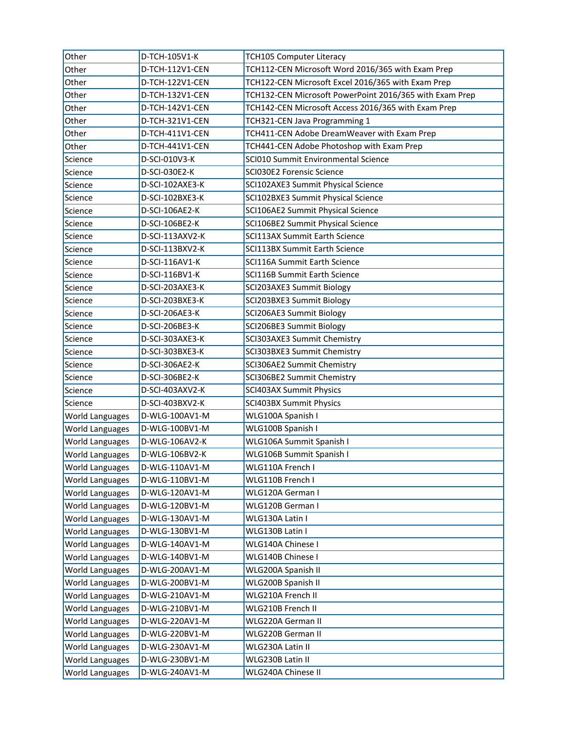| Other                  | D-TCH-105V1-K   | <b>TCH105 Computer Literacy</b>                         |
|------------------------|-----------------|---------------------------------------------------------|
| Other                  | D-TCH-112V1-CEN | TCH112-CEN Microsoft Word 2016/365 with Exam Prep       |
| Other                  | D-TCH-122V1-CEN | TCH122-CEN Microsoft Excel 2016/365 with Exam Prep      |
| Other                  | D-TCH-132V1-CEN | TCH132-CEN Microsoft PowerPoint 2016/365 with Exam Prep |
| Other                  | D-TCH-142V1-CEN | TCH142-CEN Microsoft Access 2016/365 with Exam Prep     |
| Other                  | D-TCH-321V1-CEN | TCH321-CEN Java Programming 1                           |
| Other                  | D-TCH-411V1-CEN | TCH411-CEN Adobe DreamWeaver with Exam Prep             |
| Other                  | D-TCH-441V1-CEN | TCH441-CEN Adobe Photoshop with Exam Prep               |
| Science                | D-SCI-010V3-K   | SCI010 Summit Environmental Science                     |
| Science                | D-SCI-030E2-K   | SCI030E2 Forensic Science                               |
| Science                | D-SCI-102AXE3-K | SCI102AXE3 Summit Physical Science                      |
| Science                | D-SCI-102BXE3-K | SCI102BXE3 Summit Physical Science                      |
| Science                | D-SCI-106AE2-K  | SCI106AE2 Summit Physical Science                       |
| Science                | D-SCI-106BE2-K  | SCI106BE2 Summit Physical Science                       |
| Science                | D-SCI-113AXV2-K | SCI113AX Summit Earth Science                           |
| Science                | D-SCI-113BXV2-K | <b>SCI113BX Summit Earth Science</b>                    |
| Science                | D-SCI-116AV1-K  | SCI116A Summit Earth Science                            |
| Science                | D-SCI-116BV1-K  | SCI116B Summit Earth Science                            |
| Science                | D-SCI-203AXE3-K | SCI203AXE3 Summit Biology                               |
| Science                | D-SCI-203BXE3-K | SCI203BXE3 Summit Biology                               |
| Science                | D-SCI-206AE3-K  | SCI206AE3 Summit Biology                                |
| Science                | D-SCI-206BE3-K  | SCI206BE3 Summit Biology                                |
| Science                | D-SCI-303AXE3-K | SCI303AXE3 Summit Chemistry                             |
| Science                | D-SCI-303BXE3-K | SCI303BXE3 Summit Chemistry                             |
| Science                | D-SCI-306AE2-K  | SCI306AE2 Summit Chemistry                              |
| Science                | D-SCI-306BE2-K  | SCI306BE2 Summit Chemistry                              |
| Science                | D-SCI-403AXV2-K | SCI403AX Summit Physics                                 |
| Science                | D-SCI-403BXV2-K | SCI403BX Summit Physics                                 |
| <b>World Languages</b> | D-WLG-100AV1-M  | WLG100A Spanish I                                       |
| World Languages        | D-WLG-100BV1-M  | WLG100B Spanish I                                       |
| World Languages        | D-WLG-106AV2-K  | WLG106A Summit Spanish I                                |
| <b>World Languages</b> | D-WLG-106BV2-K  | WLG106B Summit Spanish I                                |
| <b>World Languages</b> | D-WLG-110AV1-M  | WLG110A French I                                        |
| World Languages        | D-WLG-110BV1-M  | WLG110B French I                                        |
| World Languages        | D-WLG-120AV1-M  | WLG120A German I                                        |
| <b>World Languages</b> | D-WLG-120BV1-M  | WLG120B German I                                        |
| World Languages        | D-WLG-130AV1-M  | WLG130A Latin I                                         |
| <b>World Languages</b> | D-WLG-130BV1-M  | WLG130B Latin I                                         |
| <b>World Languages</b> | D-WLG-140AV1-M  | WLG140A Chinese I                                       |
| <b>World Languages</b> | D-WLG-140BV1-M  | WLG140B Chinese I                                       |
| World Languages        | D-WLG-200AV1-M  | WLG200A Spanish II                                      |
| <b>World Languages</b> | D-WLG-200BV1-M  | WLG200B Spanish II                                      |
| World Languages        | D-WLG-210AV1-M  | WLG210A French II                                       |
| World Languages        | D-WLG-210BV1-M  | WLG210B French II                                       |
| World Languages        | D-WLG-220AV1-M  | WLG220A German II                                       |
| World Languages        | D-WLG-220BV1-M  | WLG220B German II                                       |
| World Languages        | D-WLG-230AV1-M  | WLG230A Latin II                                        |
| World Languages        | D-WLG-230BV1-M  | WLG230B Latin II                                        |
| <b>World Languages</b> | D-WLG-240AV1-M  | WLG240A Chinese II                                      |